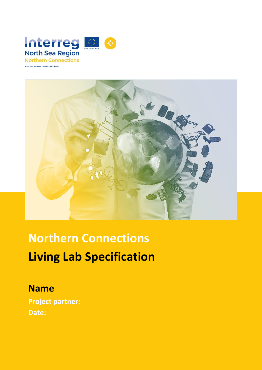



# **Northern Connections Living Lab Specification**

### **Name**

**Project partner: Date:**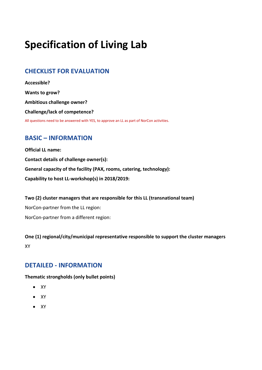## **Specification of Living Lab**

#### **CHECKLIST FOR EVALUATION**

**Accessible? Wants to grow? Ambitious challenge owner? Challenge/lack of competence?** All questions need to be answered with YES, to approve an LL as part of NorCon activities.

#### **BASIC – INFORMATION**

**Official LL name: Contact details of challenge owner(s): General capacity of the facility (PAX, rooms, catering, technology): Capability to host LL-workshop(s) in 2018/2019:**

**Two (2) cluster managers that are responsible for this LL (transnational team)** NorCon-partner from the LL region: NorCon-partner from a different region:

**One (1) regional/city/municipal representative responsible to support the cluster managers**  XY

#### **DETAILED - INFORMATION**

**Thematic strongholds (only bullet points)**

- $\bullet$  XY
- $\bullet$  XY
- $\bullet$  XY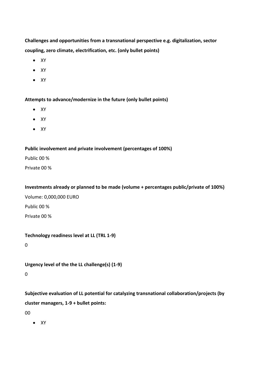**Challenges and opportunities from a transnational perspective e.g. digitalization, sector coupling, zero climate, electrification, etc. (only bullet points)**

- $\bullet$  XY
- $\bullet$  XY
- $\bullet$  XY

**Attempts to advance/modernize in the future (only bullet points)**

- $\bullet$  XY
- $\bullet$  XY
- $\bullet$  XY

#### **Public involvement and private involvement (percentages of 100%)**

Public 00 %

Private 00 %

**Investments already or planned to be made (volume + percentages public/private of 100%)**

Volume: 0,000,000 EURO

Public 00 %

Private 00 %

**Technology readiness level at LL (TRL 1-9)**

0

**Urgency level of the the LL challenge(s) (1-9)**

0

**Subjective evaluation of LL potential for catalyzing transnational collaboration/projects (by cluster managers, 1-9 + bullet points:**

00

 $\bullet$  XY